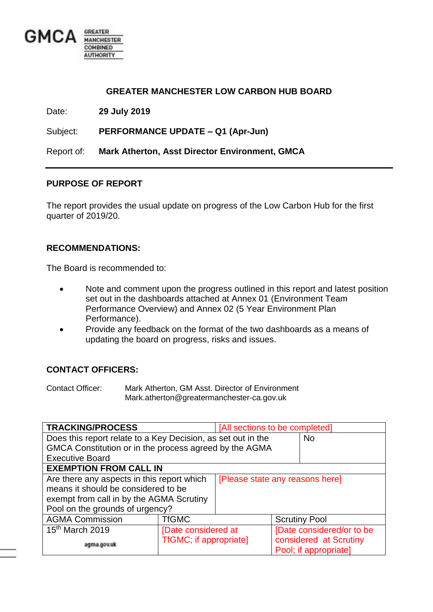

#### **GREATER MANCHESTER LOW CARBON HUB BOARD**

Date: **29 July 2019**

Subject: **PERFORMANCE UPDATE – Q1 (Apr-Jun)**

Report of: **Mark Atherton, Asst Director Environment, GMCA**

#### **PURPOSE OF REPORT**

The report provides the usual update on progress of the Low Carbon Hub for the first quarter of 2019/20.

#### **RECOMMENDATIONS:**

The Board is recommended to:

- Note and comment upon the progress outlined in this report and latest position set out in the dashboards attached at Annex 01 (Environment Team Performance Overview) and Annex 02 (5 Year Environment Plan Performance).
- Provide any feedback on the format of the two dashboards as a means of updating the board on progress, risks and issues.

#### **CONTACT OFFICERS:**

Contact Officer: Mark Atherton, GM Asst. Director of Environment Mark.atherton@greatermanchester-ca.gov.uk

| <b>TRACKING/PROCESS</b>                                      |                                 | [All sections to be completed] |  |                           |
|--------------------------------------------------------------|---------------------------------|--------------------------------|--|---------------------------|
| Does this report relate to a Key Decision, as set out in the |                                 |                                |  | <b>No</b>                 |
| GMCA Constitution or in the process agreed by the AGMA       |                                 |                                |  |                           |
| <b>Executive Board</b>                                       |                                 |                                |  |                           |
| <b>EXEMPTION FROM CALL IN</b>                                |                                 |                                |  |                           |
| Are there any aspects in this report which                   | [Please state any reasons here] |                                |  |                           |
| means it should be considered to be                          |                                 |                                |  |                           |
| exempt from call in by the AGMA Scrutiny                     |                                 |                                |  |                           |
| Pool on the grounds of urgency?                              |                                 |                                |  |                           |
| <b>AGMA Commission</b>                                       | <b>TfGMC</b>                    |                                |  | <b>Scrutiny Pool</b>      |
| 15 <sup>th</sup> March 2019                                  | [Date considered at             |                                |  | [Date considered/or to be |
| agma.gov.uk                                                  | TfGMC; if appropriate]          |                                |  | considered at Scrutiny    |
|                                                              |                                 |                                |  | Pool; if appropriate]     |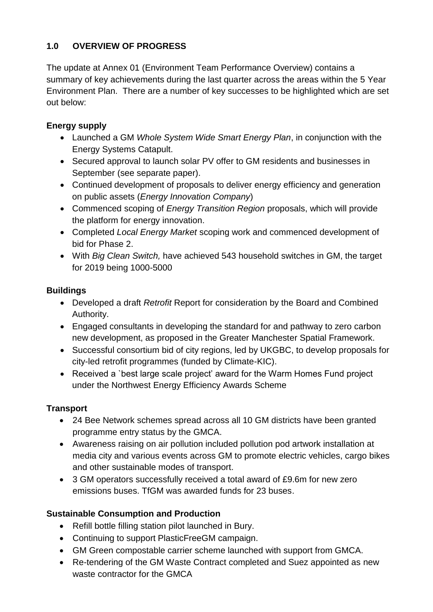# **1.0 OVERVIEW OF PROGRESS**

The update at Annex 01 (Environment Team Performance Overview) contains a summary of key achievements during the last quarter across the areas within the 5 Year Environment Plan. There are a number of key successes to be highlighted which are set out below:

# **Energy supply**

- Launched a GM *Whole System Wide Smart Energy Plan*, in conjunction with the Energy Systems Catapult.
- Secured approval to launch solar PV offer to GM residents and businesses in September (see separate paper).
- Continued development of proposals to deliver energy efficiency and generation on public assets (*Energy Innovation Company*)
- Commenced scoping of *Energy Transition Region* proposals, which will provide the platform for energy innovation.
- Completed *Local Energy Market* scoping work and commenced development of bid for Phase 2.
- With *Big Clean Switch,* have achieved 543 household switches in GM, the target for 2019 being 1000-5000

# **Buildings**

- Developed a draft *Retrofit* Report for consideration by the Board and Combined Authority.
- Engaged consultants in developing the standard for and pathway to zero carbon new development, as proposed in the Greater Manchester Spatial Framework.
- Successful consortium bid of city regions, led by UKGBC, to develop proposals for city-led retrofit programmes (funded by Climate-KIC).
- Received a `best large scale project' award for the Warm Homes Fund project under the Northwest Energy Efficiency Awards Scheme

# **Transport**

- 24 Bee Network schemes spread across all 10 GM districts have been granted programme entry status by the GMCA.
- Awareness raising on air pollution included pollution pod artwork installation at media city and various events across GM to promote electric vehicles, cargo bikes and other sustainable modes of transport.
- 3 GM operators successfully received a total award of £9.6m for new zero emissions buses. TfGM was awarded funds for 23 buses.

# **Sustainable Consumption and Production**

- Refill bottle filling station pilot launched in Bury.
- Continuing to support PlasticFreeGM campaign.
- GM Green compostable carrier scheme launched with support from GMCA.
- Re-tendering of the GM Waste Contract completed and Suez appointed as new waste contractor for the GMCA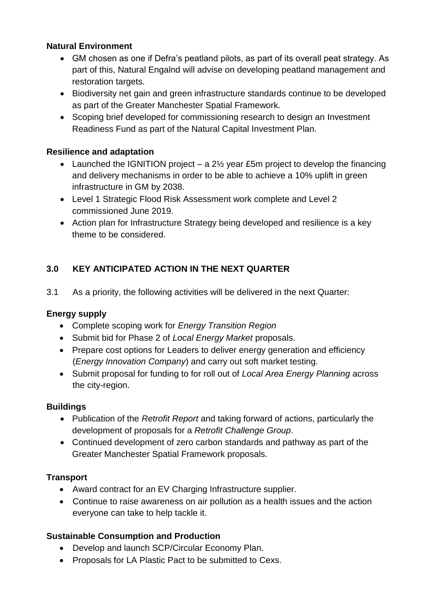### **Natural Environment**

- GM chosen as one if Defra's peatland pilots, as part of its overall peat strategy. As part of this, Natural Engalnd will advise on developing peatland management and restoration targets.
- Biodiversity net gain and green infrastructure standards continue to be developed as part of the Greater Manchester Spatial Framework.
- Scoping brief developed for commissioning research to design an Investment Readiness Fund as part of the Natural Capital Investment Plan.

## **Resilience and adaptation**

- Launched the IGNITION project a 2<sup>1/2</sup> year £5m project to develop the financing and delivery mechanisms in order to be able to achieve a 10% uplift in green infrastructure in GM by 2038.
- Level 1 Strategic Flood Risk Assessment work complete and Level 2 commissioned June 2019.
- Action plan for Infrastructure Strategy being developed and resilience is a key theme to be considered.

# **3.0 KEY ANTICIPATED ACTION IN THE NEXT QUARTER**

3.1 As a priority, the following activities will be delivered in the next Quarter:

### **Energy supply**

- Complete scoping work for *Energy Transition Region*
- Submit bid for Phase 2 of *Local Energy Market* proposals.
- Prepare cost options for Leaders to deliver energy generation and efficiency (*Energy Innovation Company*) and carry out soft market testing.
- Submit proposal for funding to for roll out of *Local Area Energy Planning* across the city-region.

### **Buildings**

- Publication of the *Retrofit Report* and taking forward of actions, particularly the development of proposals for a *Retrofit Challenge Group*.
- Continued development of zero carbon standards and pathway as part of the Greater Manchester Spatial Framework proposals.

# **Transport**

- Award contract for an EV Charging Infrastructure supplier.
- Continue to raise awareness on air pollution as a health issues and the action everyone can take to help tackle it.

# **Sustainable Consumption and Production**

- Develop and launch SCP/Circular Economy Plan.
- Proposals for LA Plastic Pact to be submitted to Cexs.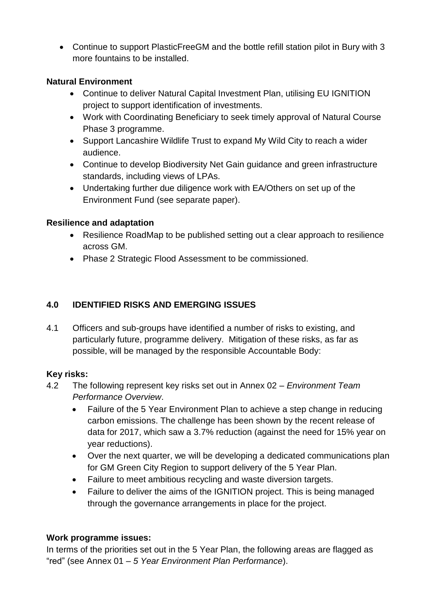Continue to support PlasticFreeGM and the bottle refill station pilot in Bury with 3 more fountains to be installed.

### **Natural Environment**

- Continue to deliver Natural Capital Investment Plan, utilising EU IGNITION project to support identification of investments.
- Work with Coordinating Beneficiary to seek timely approval of Natural Course Phase 3 programme.
- Support Lancashire Wildlife Trust to expand My Wild City to reach a wider audience.
- Continue to develop Biodiversity Net Gain guidance and green infrastructure standards, including views of LPAs.
- Undertaking further due diligence work with EA/Others on set up of the Environment Fund (see separate paper).

# **Resilience and adaptation**

- Resilience RoadMap to be published setting out a clear approach to resilience across GM.
- Phase 2 Strategic Flood Assessment to be commissioned.

# **4.0 IDENTIFIED RISKS AND EMERGING ISSUES**

4.1 Officers and sub-groups have identified a number of risks to existing, and particularly future, programme delivery. Mitigation of these risks, as far as possible, will be managed by the responsible Accountable Body:

### **Key risks:**

- 4.2 The following represent key risks set out in Annex 02 *Environment Team Performance Overview*.
	- Failure of the 5 Year Environment Plan to achieve a step change in reducing carbon emissions. The challenge has been shown by the recent release of data for 2017, which saw a 3.7% reduction (against the need for 15% year on year reductions).
	- Over the next quarter, we will be developing a dedicated communications plan for GM Green City Region to support delivery of the 5 Year Plan.
	- Failure to meet ambitious recycling and waste diversion targets.
	- Failure to deliver the aims of the IGNITION project. This is being managed through the governance arrangements in place for the project.

# **Work programme issues:**

In terms of the priorities set out in the 5 Year Plan, the following areas are flagged as "red" (see Annex 01 – *5 Year Environment Plan Performance*).